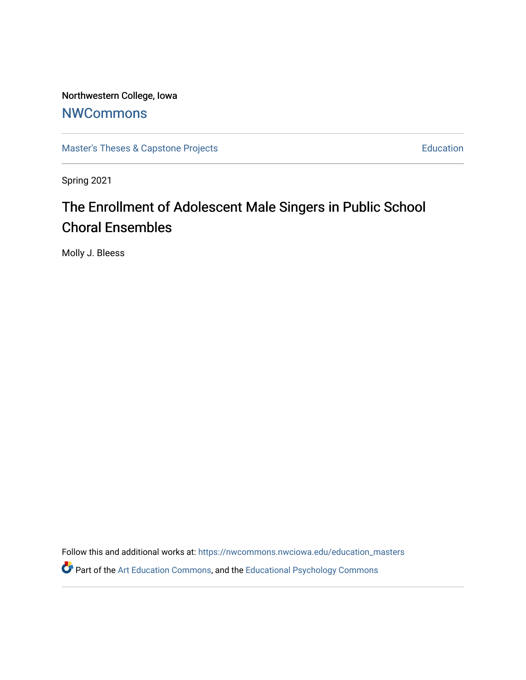Northwestern College, Iowa

## **[NWCommons](https://nwcommons.nwciowa.edu/)**

[Master's Theses & Capstone Projects](https://nwcommons.nwciowa.edu/education_masters) **Education** Education

Spring 2021

# The Enrollment of Adolescent Male Singers in Public School Choral Ensembles

Molly J. Bleess

Follow this and additional works at: [https://nwcommons.nwciowa.edu/education\\_masters](https://nwcommons.nwciowa.edu/education_masters?utm_source=nwcommons.nwciowa.edu%2Feducation_masters%2F279&utm_medium=PDF&utm_campaign=PDFCoverPages) Part of the [Art Education Commons](http://network.bepress.com/hgg/discipline/1149?utm_source=nwcommons.nwciowa.edu%2Feducation_masters%2F279&utm_medium=PDF&utm_campaign=PDFCoverPages), and the [Educational Psychology Commons](http://network.bepress.com/hgg/discipline/798?utm_source=nwcommons.nwciowa.edu%2Feducation_masters%2F279&utm_medium=PDF&utm_campaign=PDFCoverPages)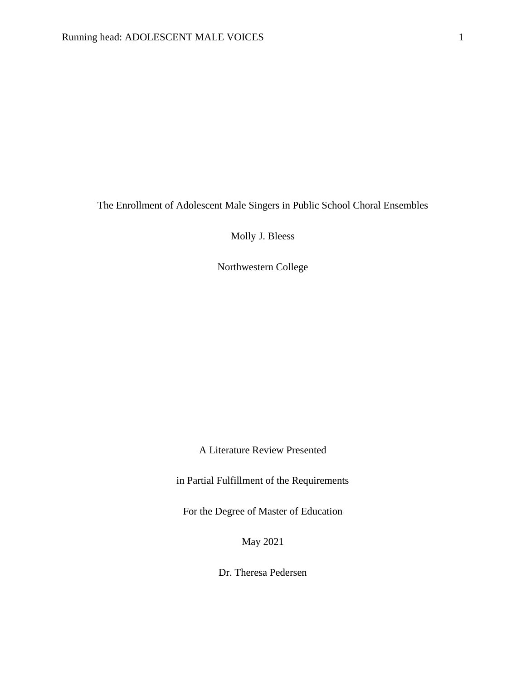The Enrollment of Adolescent Male Singers in Public School Choral Ensembles

Molly J. Bleess

Northwestern College

A Literature Review Presented

in Partial Fulfillment of the Requirements

For the Degree of Master of Education

May 2021

Dr. Theresa Pedersen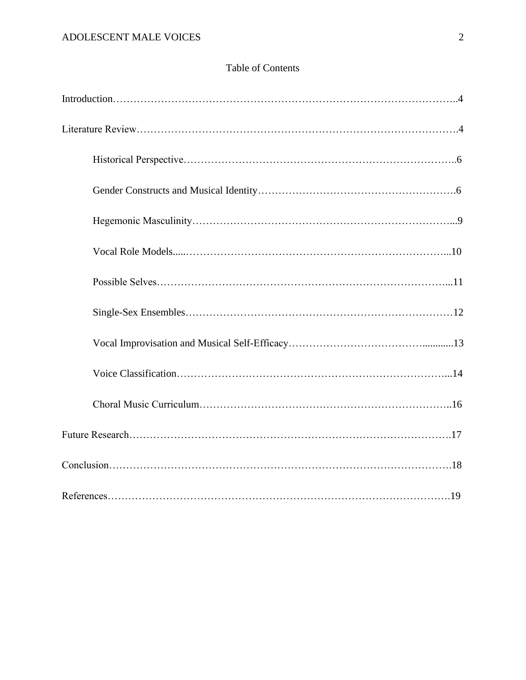### Table of Contents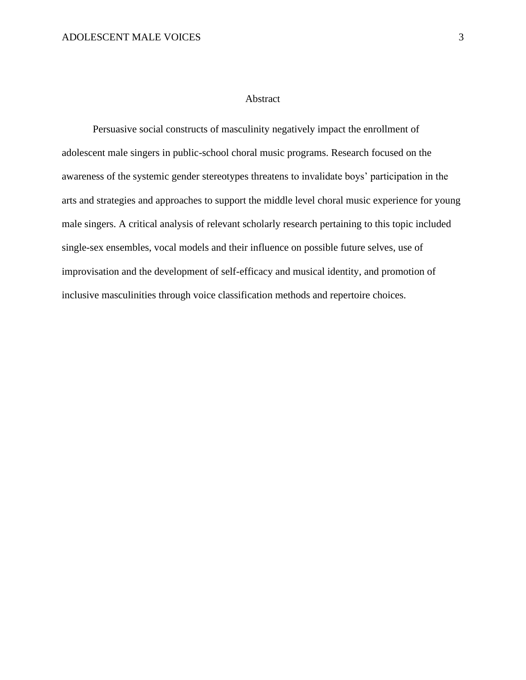#### Abstract

Persuasive social constructs of masculinity negatively impact the enrollment of adolescent male singers in public-school choral music programs. Research focused on the awareness of the systemic gender stereotypes threatens to invalidate boys' participation in the arts and strategies and approaches to support the middle level choral music experience for young male singers. A critical analysis of relevant scholarly research pertaining to this topic included single-sex ensembles, vocal models and their influence on possible future selves, use of improvisation and the development of self-efficacy and musical identity, and promotion of inclusive masculinities through voice classification methods and repertoire choices.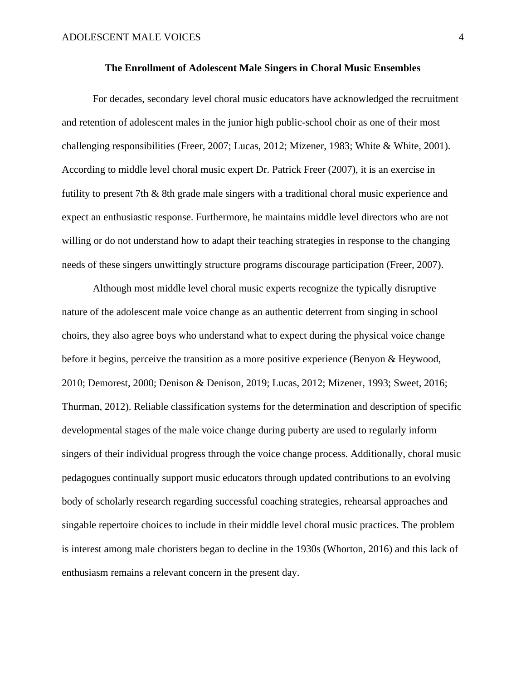#### **The Enrollment of Adolescent Male Singers in Choral Music Ensembles**

For decades, secondary level choral music educators have acknowledged the recruitment and retention of adolescent males in the junior high public-school choir as one of their most challenging responsibilities (Freer, 2007; Lucas, 2012; Mizener, 1983; White & White, 2001). According to middle level choral music expert Dr. Patrick Freer (2007), it is an exercise in futility to present 7th & 8th grade male singers with a traditional choral music experience and expect an enthusiastic response. Furthermore, he maintains middle level directors who are not willing or do not understand how to adapt their teaching strategies in response to the changing needs of these singers unwittingly structure programs discourage participation (Freer, 2007).

Although most middle level choral music experts recognize the typically disruptive nature of the adolescent male voice change as an authentic deterrent from singing in school choirs, they also agree boys who understand what to expect during the physical voice change before it begins, perceive the transition as a more positive experience (Benyon & Heywood, 2010; Demorest, 2000; Denison & Denison, 2019; Lucas, 2012; Mizener, 1993; Sweet, 2016; Thurman, 2012). Reliable classification systems for the determination and description of specific developmental stages of the male voice change during puberty are used to regularly inform singers of their individual progress through the voice change process. Additionally, choral music pedagogues continually support music educators through updated contributions to an evolving body of scholarly research regarding successful coaching strategies, rehearsal approaches and singable repertoire choices to include in their middle level choral music practices. The problem is interest among male choristers began to decline in the 1930s (Whorton, 2016) and this lack of enthusiasm remains a relevant concern in the present day.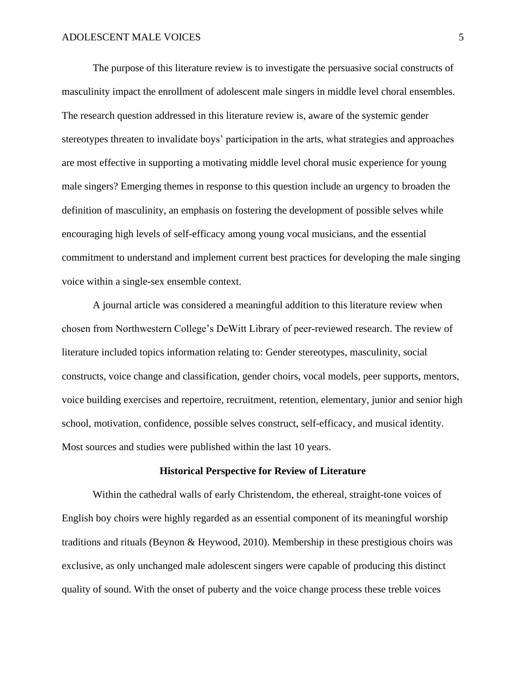The purpose of this literature review is to investigate the persuasive social constructs of masculinity impact the enrollment of adolescent male singers in middle level choral ensembles. The research question addressed in this literature review is, aware of the systemic gender stereotypes threaten to invalidate boys' participation in the arts, what strategies and approaches are most effective in supporting a motivating middle level choral music experience for young male singers? Emerging themes in response to this question include an urgency to broaden the definition of masculinity, an emphasis on fostering the development of possible selves while encouraging high levels of self-efficacy among young vocal musicians, and the essential commitment to understand and implement current best practices for developing the male singing voice within a single-sex ensemble context.

A journal article was considered a meaningful addition to this literature review when chosen from Northwestern College's DeWitt Library of peer-reviewed research. The review of literature included topics information relating to: Gender stereotypes, masculinity, social constructs, voice change and classification, gender choirs, vocal models, peer supports, mentors, voice building exercises and repertoire, recruitment, retention, elementary, junior and senior high school, motivation, confidence, possible selves construct, self-efficacy, and musical identity. Most sources and studies were published within the last 10 years.

#### **Historical Perspective for Review of Literature**

Within the cathedral walls of early Christendom, the ethereal, straight-tone voices of English boy choirs were highly regarded as an essential component of its meaningful worship traditions and rituals (Beynon & Heywood, 2010). Membership in these prestigious choirs was exclusive, as only unchanged male adolescent singers were capable of producing this distinct quality of sound. With the onset of puberty and the voice change process these treble voices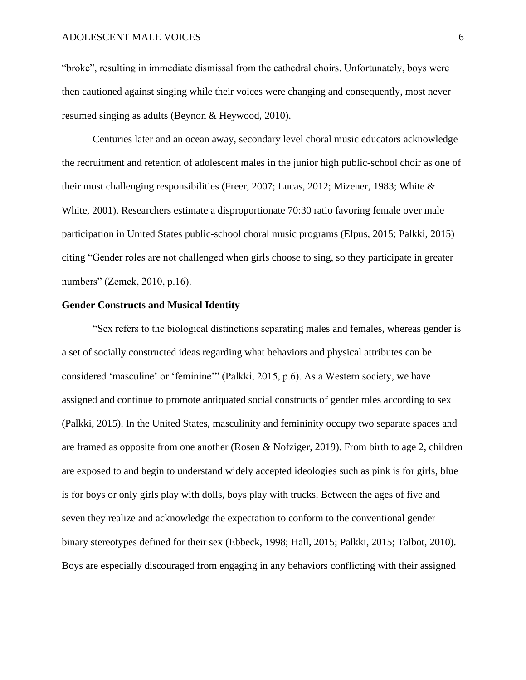"broke", resulting in immediate dismissal from the cathedral choirs. Unfortunately, boys were then cautioned against singing while their voices were changing and consequently, most never resumed singing as adults (Beynon & Heywood, 2010).

Centuries later and an ocean away, secondary level choral music educators acknowledge the recruitment and retention of adolescent males in the junior high public-school choir as one of their most challenging responsibilities (Freer, 2007; Lucas, 2012; Mizener, 1983; White & White, 2001). Researchers estimate a disproportionate 70:30 ratio favoring female over male participation in United States public-school choral music programs (Elpus, 2015; Palkki, 2015) citing "Gender roles are not challenged when girls choose to sing, so they participate in greater numbers" (Zemek, 2010, p.16).

#### **Gender Constructs and Musical Identity**

"Sex refers to the biological distinctions separating males and females, whereas gender is a set of socially constructed ideas regarding what behaviors and physical attributes can be considered 'masculine' or 'feminine'" (Palkki, 2015, p.6). As a Western society, we have assigned and continue to promote antiquated social constructs of gender roles according to sex (Palkki, 2015). In the United States, masculinity and femininity occupy two separate spaces and are framed as opposite from one another (Rosen & Nofziger, 2019). From birth to age 2, children are exposed to and begin to understand widely accepted ideologies such as pink is for girls, blue is for boys or only girls play with dolls, boys play with trucks. Between the ages of five and seven they realize and acknowledge the expectation to conform to the conventional gender binary stereotypes defined for their sex (Ebbeck, 1998; Hall, 2015; Palkki, 2015; Talbot, 2010). Boys are especially discouraged from engaging in any behaviors conflicting with their assigned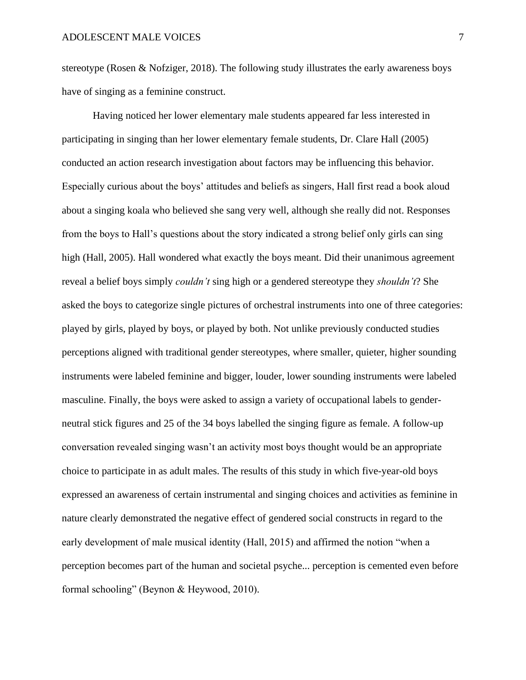stereotype (Rosen & Nofziger, 2018). The following study illustrates the early awareness boys have of singing as a feminine construct.

Having noticed her lower elementary male students appeared far less interested in participating in singing than her lower elementary female students, Dr. Clare Hall (2005) conducted an action research investigation about factors may be influencing this behavior. Especially curious about the boys' attitudes and beliefs as singers, Hall first read a book aloud about a singing koala who believed she sang very well, although she really did not. Responses from the boys to Hall's questions about the story indicated a strong belief only girls can sing high (Hall, 2005). Hall wondered what exactly the boys meant. Did their unanimous agreement reveal a belief boys simply *couldn't* sing high or a gendered stereotype they *shouldn't*? She asked the boys to categorize single pictures of orchestral instruments into one of three categories: played by girls, played by boys, or played by both. Not unlike previously conducted studies perceptions aligned with traditional gender stereotypes, where smaller, quieter, higher sounding instruments were labeled feminine and bigger, louder, lower sounding instruments were labeled masculine. Finally, the boys were asked to assign a variety of occupational labels to genderneutral stick figures and 25 of the 34 boys labelled the singing figure as female. A follow-up conversation revealed singing wasn't an activity most boys thought would be an appropriate choice to participate in as adult males. The results of this study in which five-year-old boys expressed an awareness of certain instrumental and singing choices and activities as feminine in nature clearly demonstrated the negative effect of gendered social constructs in regard to the early development of male musical identity (Hall, 2015) and affirmed the notion "when a perception becomes part of the human and societal psyche... perception is cemented even before formal schooling" (Beynon & Heywood, 2010).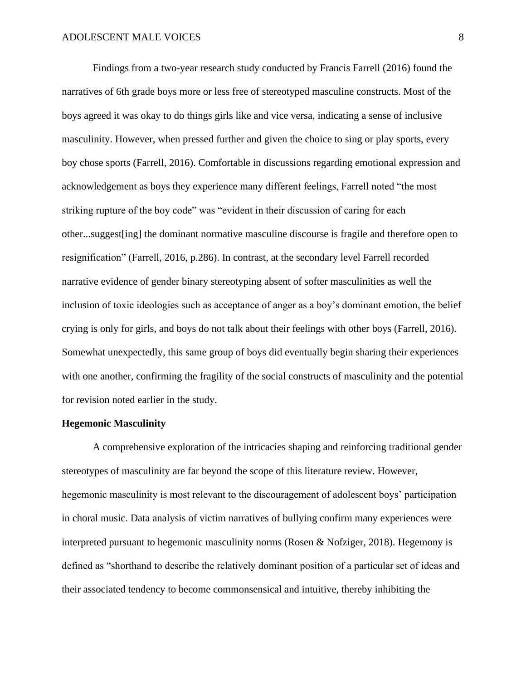Findings from a two-year research study conducted by Francis Farrell (2016) found the narratives of 6th grade boys more or less free of stereotyped masculine constructs. Most of the boys agreed it was okay to do things girls like and vice versa, indicating a sense of inclusive masculinity. However, when pressed further and given the choice to sing or play sports, every boy chose sports (Farrell, 2016). Comfortable in discussions regarding emotional expression and acknowledgement as boys they experience many different feelings, Farrell noted "the most striking rupture of the boy code" was "evident in their discussion of caring for each other...suggest[ing] the dominant normative masculine discourse is fragile and therefore open to resignification" (Farrell, 2016, p.286). In contrast, at the secondary level Farrell recorded narrative evidence of gender binary stereotyping absent of softer masculinities as well the inclusion of toxic ideologies such as acceptance of anger as a boy's dominant emotion, the belief crying is only for girls, and boys do not talk about their feelings with other boys (Farrell, 2016). Somewhat unexpectedly, this same group of boys did eventually begin sharing their experiences with one another, confirming the fragility of the social constructs of masculinity and the potential for revision noted earlier in the study.

#### **Hegemonic Masculinity**

A comprehensive exploration of the intricacies shaping and reinforcing traditional gender stereotypes of masculinity are far beyond the scope of this literature review. However, hegemonic masculinity is most relevant to the discouragement of adolescent boys' participation in choral music. Data analysis of victim narratives of bullying confirm many experiences were interpreted pursuant to hegemonic masculinity norms (Rosen & Nofziger, 2018). Hegemony is defined as "shorthand to describe the relatively dominant position of a particular set of ideas and their associated tendency to become commonsensical and intuitive, thereby inhibiting the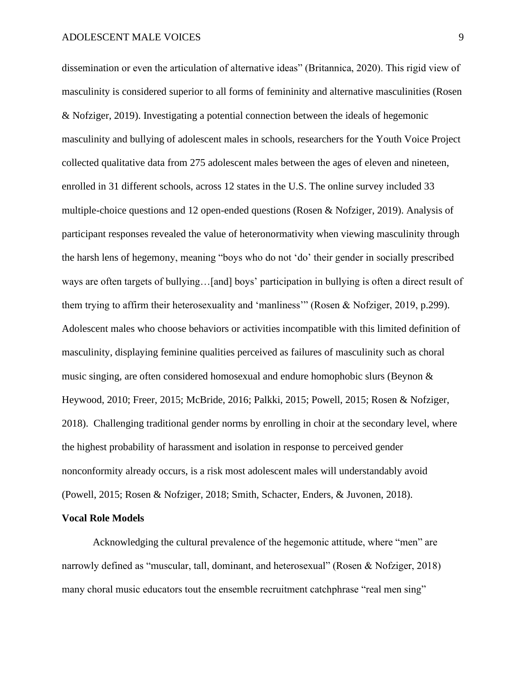dissemination or even the articulation of alternative ideas" (Britannica, 2020). This rigid view of masculinity is considered superior to all forms of femininity and alternative masculinities (Rosen & Nofziger, 2019). Investigating a potential connection between the ideals of hegemonic masculinity and bullying of adolescent males in schools, researchers for the Youth Voice Project collected qualitative data from 275 adolescent males between the ages of eleven and nineteen, enrolled in 31 different schools, across 12 states in the U.S. The online survey included 33 multiple-choice questions and 12 open-ended questions (Rosen & Nofziger, 2019). Analysis of participant responses revealed the value of heteronormativity when viewing masculinity through the harsh lens of hegemony, meaning "boys who do not 'do' their gender in socially prescribed ways are often targets of bullying...[and] boys' participation in bullying is often a direct result of them trying to affirm their heterosexuality and 'manliness'" (Rosen & Nofziger, 2019, p.299). Adolescent males who choose behaviors or activities incompatible with this limited definition of masculinity, displaying feminine qualities perceived as failures of masculinity such as choral music singing, are often considered homosexual and endure homophobic slurs (Beynon & Heywood, 2010; Freer, 2015; McBride, 2016; Palkki, 2015; Powell, 2015; Rosen & Nofziger, 2018). Challenging traditional gender norms by enrolling in choir at the secondary level, where the highest probability of harassment and isolation in response to perceived gender nonconformity already occurs, is a risk most adolescent males will understandably avoid (Powell, 2015; Rosen & Nofziger, 2018; Smith, Schacter, Enders, & Juvonen, 2018).

#### **Vocal Role Models**

Acknowledging the cultural prevalence of the hegemonic attitude, where "men" are narrowly defined as "muscular, tall, dominant, and heterosexual" (Rosen & Nofziger, 2018) many choral music educators tout the ensemble recruitment catchphrase "real men sing"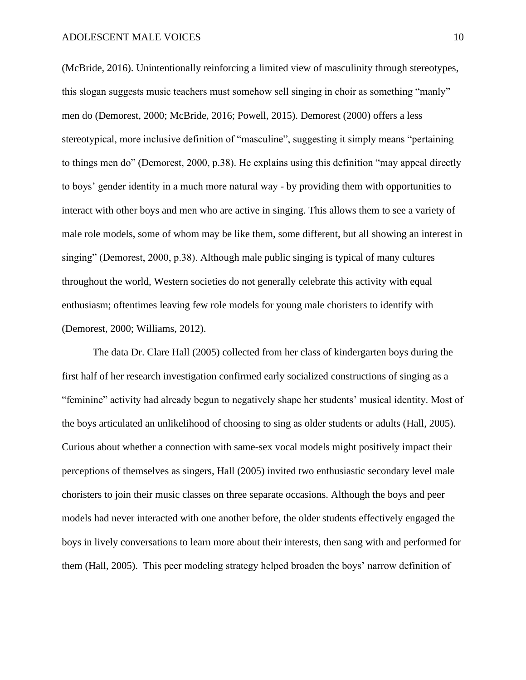#### ADOLESCENT MALE VOICES 10

(McBride, 2016). Unintentionally reinforcing a limited view of masculinity through stereotypes, this slogan suggests music teachers must somehow sell singing in choir as something "manly" men do (Demorest, 2000; McBride, 2016; Powell, 2015). Demorest (2000) offers a less stereotypical, more inclusive definition of "masculine", suggesting it simply means "pertaining to things men do" (Demorest, 2000, p.38). He explains using this definition "may appeal directly to boys' gender identity in a much more natural way - by providing them with opportunities to interact with other boys and men who are active in singing. This allows them to see a variety of male role models, some of whom may be like them, some different, but all showing an interest in singing" (Demorest, 2000, p.38). Although male public singing is typical of many cultures throughout the world, Western societies do not generally celebrate this activity with equal enthusiasm; oftentimes leaving few role models for young male choristers to identify with (Demorest, 2000; Williams, 2012).

The data Dr. Clare Hall (2005) collected from her class of kindergarten boys during the first half of her research investigation confirmed early socialized constructions of singing as a "feminine" activity had already begun to negatively shape her students' musical identity. Most of the boys articulated an unlikelihood of choosing to sing as older students or adults (Hall, 2005). Curious about whether a connection with same-sex vocal models might positively impact their perceptions of themselves as singers, Hall (2005) invited two enthusiastic secondary level male choristers to join their music classes on three separate occasions. Although the boys and peer models had never interacted with one another before, the older students effectively engaged the boys in lively conversations to learn more about their interests, then sang with and performed for them (Hall, 2005). This peer modeling strategy helped broaden the boys' narrow definition of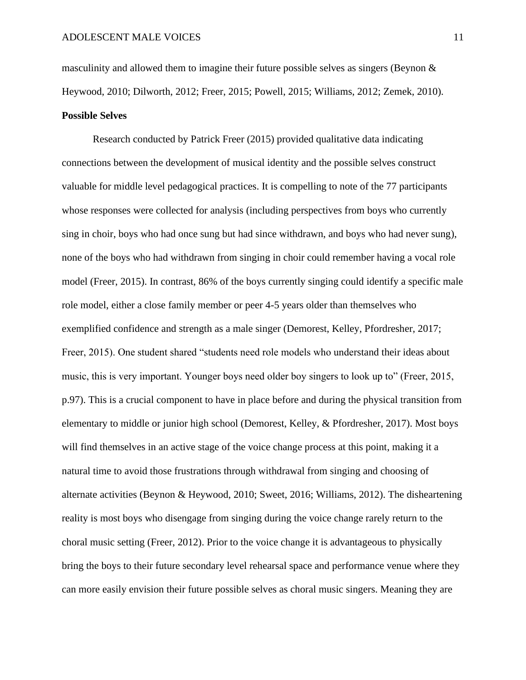masculinity and allowed them to imagine their future possible selves as singers (Beynon & Heywood, 2010; Dilworth, 2012; Freer, 2015; Powell, 2015; Williams, 2012; Zemek, 2010). **Possible Selves**

Research conducted by Patrick Freer (2015) provided qualitative data indicating connections between the development of musical identity and the possible selves construct valuable for middle level pedagogical practices. It is compelling to note of the 77 participants whose responses were collected for analysis (including perspectives from boys who currently sing in choir, boys who had once sung but had since withdrawn, and boys who had never sung), none of the boys who had withdrawn from singing in choir could remember having a vocal role model (Freer, 2015). In contrast, 86% of the boys currently singing could identify a specific male role model, either a close family member or peer 4-5 years older than themselves who exemplified confidence and strength as a male singer (Demorest, Kelley, Pfordresher, 2017; Freer, 2015). One student shared "students need role models who understand their ideas about music, this is very important. Younger boys need older boy singers to look up to" (Freer, 2015, p.97). This is a crucial component to have in place before and during the physical transition from elementary to middle or junior high school (Demorest, Kelley, & Pfordresher, 2017). Most boys will find themselves in an active stage of the voice change process at this point, making it a natural time to avoid those frustrations through withdrawal from singing and choosing of alternate activities (Beynon & Heywood, 2010; Sweet, 2016; Williams, 2012). The disheartening reality is most boys who disengage from singing during the voice change rarely return to the choral music setting (Freer, 2012). Prior to the voice change it is advantageous to physically bring the boys to their future secondary level rehearsal space and performance venue where they can more easily envision their future possible selves as choral music singers. Meaning they are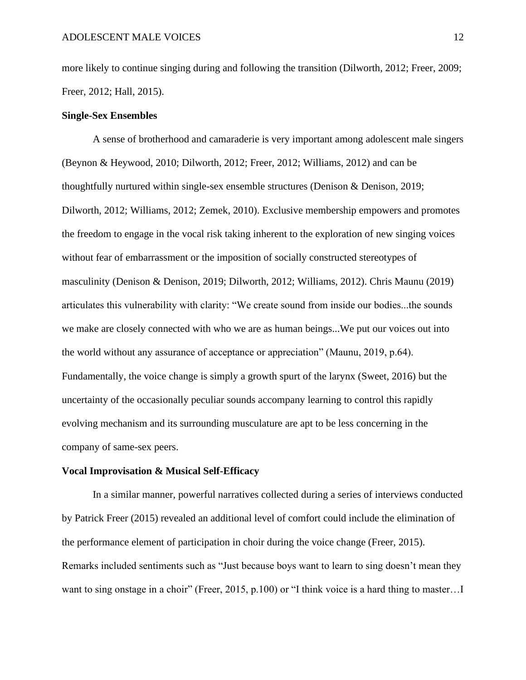more likely to continue singing during and following the transition (Dilworth, 2012; Freer, 2009; Freer, 2012; Hall, 2015).

#### **Single-Sex Ensembles**

A sense of brotherhood and camaraderie is very important among adolescent male singers (Beynon & Heywood, 2010; Dilworth, 2012; Freer, 2012; Williams, 2012) and can be thoughtfully nurtured within single-sex ensemble structures (Denison & Denison, 2019; Dilworth, 2012; Williams, 2012; Zemek, 2010). Exclusive membership empowers and promotes the freedom to engage in the vocal risk taking inherent to the exploration of new singing voices without fear of embarrassment or the imposition of socially constructed stereotypes of masculinity (Denison & Denison, 2019; Dilworth, 2012; Williams, 2012). Chris Maunu (2019) articulates this vulnerability with clarity: "We create sound from inside our bodies...the sounds we make are closely connected with who we are as human beings...We put our voices out into the world without any assurance of acceptance or appreciation" (Maunu, 2019, p.64). Fundamentally, the voice change is simply a growth spurt of the larynx (Sweet, 2016) but the uncertainty of the occasionally peculiar sounds accompany learning to control this rapidly evolving mechanism and its surrounding musculature are apt to be less concerning in the company of same-sex peers.

#### **Vocal Improvisation & Musical Self-Efficacy**

In a similar manner, powerful narratives collected during a series of interviews conducted by Patrick Freer (2015) revealed an additional level of comfort could include the elimination of the performance element of participation in choir during the voice change (Freer, 2015). Remarks included sentiments such as "Just because boys want to learn to sing doesn't mean they want to sing onstage in a choir" (Freer, 2015, p.100) or "I think voice is a hard thing to master...I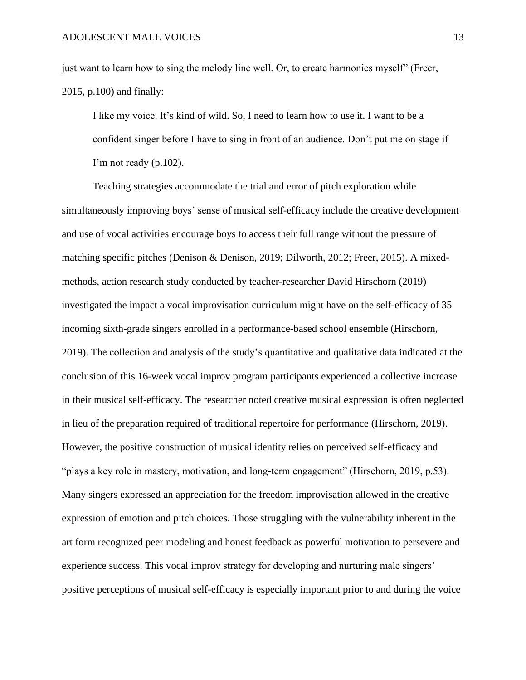just want to learn how to sing the melody line well. Or, to create harmonies myself" (Freer, 2015, p.100) and finally:

I like my voice. It's kind of wild. So, I need to learn how to use it. I want to be a confident singer before I have to sing in front of an audience. Don't put me on stage if I'm not ready (p.102).

Teaching strategies accommodate the trial and error of pitch exploration while simultaneously improving boys' sense of musical self-efficacy include the creative development and use of vocal activities encourage boys to access their full range without the pressure of matching specific pitches (Denison & Denison, 2019; Dilworth, 2012; Freer, 2015). A mixedmethods, action research study conducted by teacher-researcher David Hirschorn (2019) investigated the impact a vocal improvisation curriculum might have on the self-efficacy of 35 incoming sixth-grade singers enrolled in a performance-based school ensemble (Hirschorn, 2019). The collection and analysis of the study's quantitative and qualitative data indicated at the conclusion of this 16-week vocal improv program participants experienced a collective increase in their musical self-efficacy. The researcher noted creative musical expression is often neglected in lieu of the preparation required of traditional repertoire for performance (Hirschorn, 2019). However, the positive construction of musical identity relies on perceived self-efficacy and "plays a key role in mastery, motivation, and long-term engagement" (Hirschorn, 2019, p.53). Many singers expressed an appreciation for the freedom improvisation allowed in the creative expression of emotion and pitch choices. Those struggling with the vulnerability inherent in the art form recognized peer modeling and honest feedback as powerful motivation to persevere and experience success. This vocal improv strategy for developing and nurturing male singers' positive perceptions of musical self-efficacy is especially important prior to and during the voice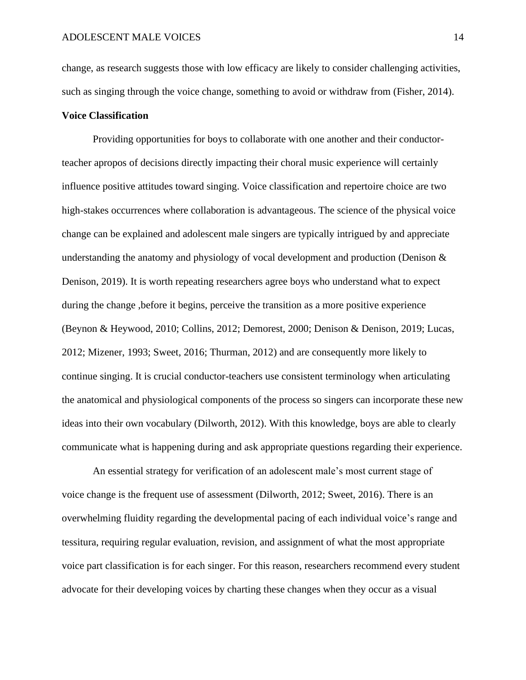change, as research suggests those with low efficacy are likely to consider challenging activities, such as singing through the voice change, something to avoid or withdraw from (Fisher, 2014).

#### **Voice Classification**

Providing opportunities for boys to collaborate with one another and their conductorteacher apropos of decisions directly impacting their choral music experience will certainly influence positive attitudes toward singing. Voice classification and repertoire choice are two high-stakes occurrences where collaboration is advantageous. The science of the physical voice change can be explained and adolescent male singers are typically intrigued by and appreciate understanding the anatomy and physiology of vocal development and production (Denison & Denison, 2019). It is worth repeating researchers agree boys who understand what to expect during the change ,before it begins, perceive the transition as a more positive experience (Beynon & Heywood, 2010; Collins, 2012; Demorest, 2000; Denison & Denison, 2019; Lucas, 2012; Mizener, 1993; Sweet, 2016; Thurman, 2012) and are consequently more likely to continue singing. It is crucial conductor-teachers use consistent terminology when articulating the anatomical and physiological components of the process so singers can incorporate these new ideas into their own vocabulary (Dilworth, 2012). With this knowledge, boys are able to clearly communicate what is happening during and ask appropriate questions regarding their experience.

An essential strategy for verification of an adolescent male's most current stage of voice change is the frequent use of assessment (Dilworth, 2012; Sweet, 2016). There is an overwhelming fluidity regarding the developmental pacing of each individual voice's range and tessitura, requiring regular evaluation, revision, and assignment of what the most appropriate voice part classification is for each singer. For this reason, researchers recommend every student advocate for their developing voices by charting these changes when they occur as a visual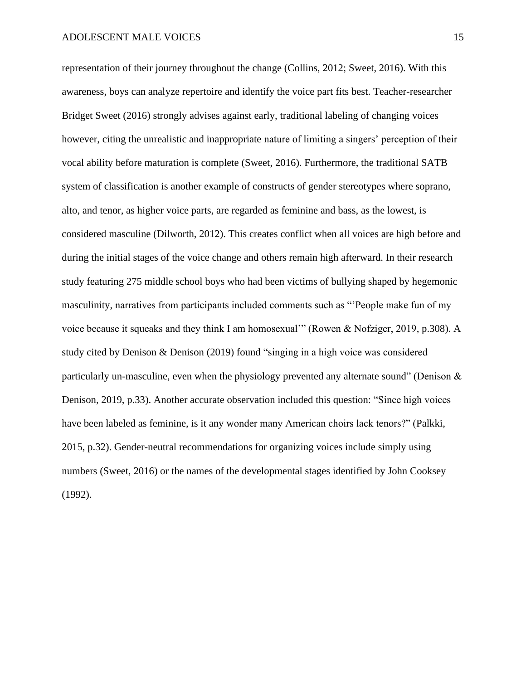#### ADOLESCENT MALE VOICES 15

representation of their journey throughout the change (Collins, 2012; Sweet, 2016). With this awareness, boys can analyze repertoire and identify the voice part fits best. Teacher-researcher Bridget Sweet (2016) strongly advises against early, traditional labeling of changing voices however, citing the unrealistic and inappropriate nature of limiting a singers' perception of their vocal ability before maturation is complete (Sweet, 2016). Furthermore, the traditional SATB system of classification is another example of constructs of gender stereotypes where soprano, alto, and tenor, as higher voice parts, are regarded as feminine and bass, as the lowest, is considered masculine (Dilworth, 2012). This creates conflict when all voices are high before and during the initial stages of the voice change and others remain high afterward. In their research study featuring 275 middle school boys who had been victims of bullying shaped by hegemonic masculinity, narratives from participants included comments such as "'People make fun of my voice because it squeaks and they think I am homosexual'" (Rowen & Nofziger, 2019, p.308). A study cited by Denison & Denison (2019) found "singing in a high voice was considered particularly un-masculine, even when the physiology prevented any alternate sound" (Denison & Denison, 2019, p.33). Another accurate observation included this question: "Since high voices have been labeled as feminine, is it any wonder many American choirs lack tenors?" (Palkki, 2015, p.32). Gender-neutral recommendations for organizing voices include simply using numbers (Sweet, 2016) or the names of the developmental stages identified by John Cooksey (1992).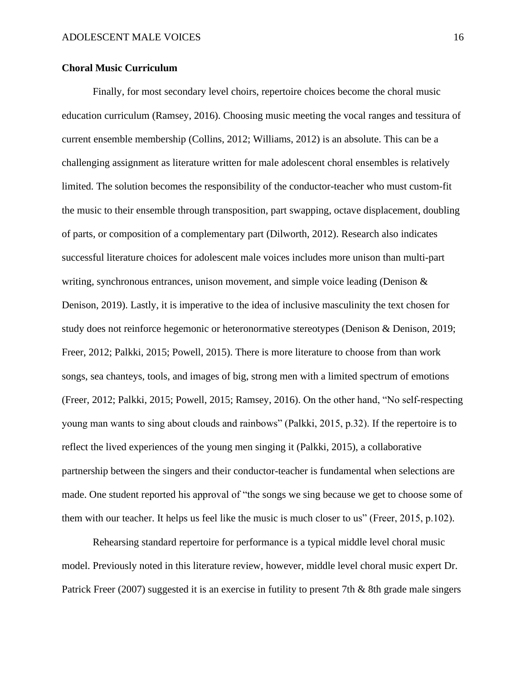#### **Choral Music Curriculum**

Finally, for most secondary level choirs, repertoire choices become the choral music education curriculum (Ramsey, 2016). Choosing music meeting the vocal ranges and tessitura of current ensemble membership (Collins, 2012; Williams, 2012) is an absolute. This can be a challenging assignment as literature written for male adolescent choral ensembles is relatively limited. The solution becomes the responsibility of the conductor-teacher who must custom-fit the music to their ensemble through transposition, part swapping, octave displacement, doubling of parts, or composition of a complementary part (Dilworth, 2012). Research also indicates successful literature choices for adolescent male voices includes more unison than multi-part writing, synchronous entrances, unison movement, and simple voice leading (Denison  $\&$ Denison, 2019). Lastly, it is imperative to the idea of inclusive masculinity the text chosen for study does not reinforce hegemonic or heteronormative stereotypes (Denison & Denison, 2019; Freer, 2012; Palkki, 2015; Powell, 2015). There is more literature to choose from than work songs, sea chanteys, tools, and images of big, strong men with a limited spectrum of emotions (Freer, 2012; Palkki, 2015; Powell, 2015; Ramsey, 2016). On the other hand, "No self-respecting young man wants to sing about clouds and rainbows" (Palkki, 2015, p.32). If the repertoire is to reflect the lived experiences of the young men singing it (Palkki, 2015), a collaborative partnership between the singers and their conductor-teacher is fundamental when selections are made. One student reported his approval of "the songs we sing because we get to choose some of them with our teacher. It helps us feel like the music is much closer to us" (Freer, 2015, p.102).

Rehearsing standard repertoire for performance is a typical middle level choral music model. Previously noted in this literature review, however, middle level choral music expert Dr. Patrick Freer (2007) suggested it is an exercise in futility to present 7th & 8th grade male singers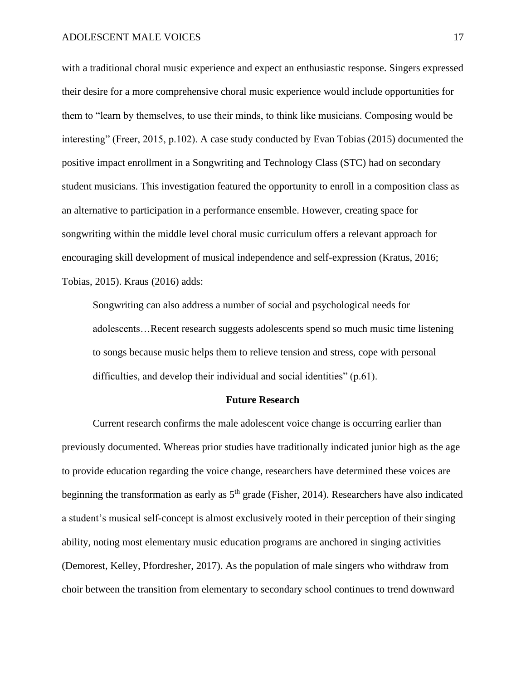with a traditional choral music experience and expect an enthusiastic response. Singers expressed their desire for a more comprehensive choral music experience would include opportunities for them to "learn by themselves, to use their minds, to think like musicians. Composing would be interesting" (Freer, 2015, p.102). A case study conducted by Evan Tobias (2015) documented the positive impact enrollment in a Songwriting and Technology Class (STC) had on secondary student musicians. This investigation featured the opportunity to enroll in a composition class as an alternative to participation in a performance ensemble. However, creating space for songwriting within the middle level choral music curriculum offers a relevant approach for encouraging skill development of musical independence and self-expression (Kratus, 2016; Tobias, 2015). Kraus (2016) adds:

Songwriting can also address a number of social and psychological needs for adolescents…Recent research suggests adolescents spend so much music time listening to songs because music helps them to relieve tension and stress, cope with personal difficulties, and develop their individual and social identities" (p.61).

#### **Future Research**

Current research confirms the male adolescent voice change is occurring earlier than previously documented. Whereas prior studies have traditionally indicated junior high as the age to provide education regarding the voice change, researchers have determined these voices are beginning the transformation as early as  $5<sup>th</sup>$  grade (Fisher, 2014). Researchers have also indicated a student's musical self-concept is almost exclusively rooted in their perception of their singing ability, noting most elementary music education programs are anchored in singing activities (Demorest, Kelley, Pfordresher, 2017). As the population of male singers who withdraw from choir between the transition from elementary to secondary school continues to trend downward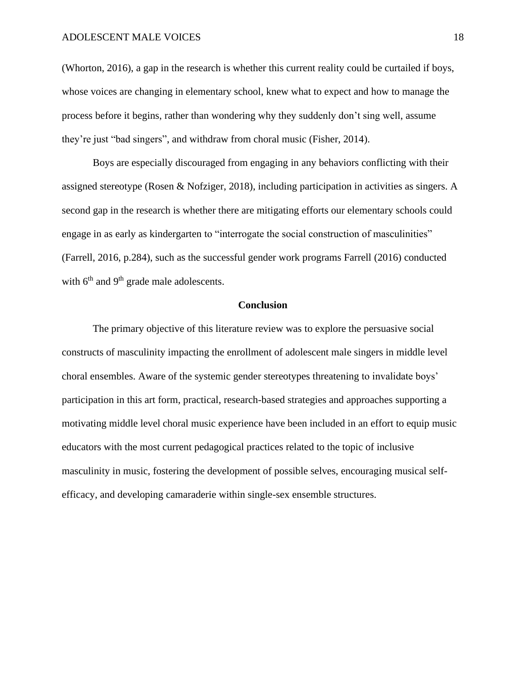#### ADOLESCENT MALE VOICES 18

(Whorton, 2016), a gap in the research is whether this current reality could be curtailed if boys, whose voices are changing in elementary school, knew what to expect and how to manage the process before it begins, rather than wondering why they suddenly don't sing well, assume they're just "bad singers", and withdraw from choral music (Fisher, 2014).

Boys are especially discouraged from engaging in any behaviors conflicting with their assigned stereotype (Rosen & Nofziger, 2018), including participation in activities as singers. A second gap in the research is whether there are mitigating efforts our elementary schools could engage in as early as kindergarten to "interrogate the social construction of masculinities" (Farrell, 2016, p.284), such as the successful gender work programs Farrell (2016) conducted with 6<sup>th</sup> and 9<sup>th</sup> grade male adolescents.

#### **Conclusion**

The primary objective of this literature review was to explore the persuasive social constructs of masculinity impacting the enrollment of adolescent male singers in middle level choral ensembles. Aware of the systemic gender stereotypes threatening to invalidate boys' participation in this art form, practical, research-based strategies and approaches supporting a motivating middle level choral music experience have been included in an effort to equip music educators with the most current pedagogical practices related to the topic of inclusive masculinity in music, fostering the development of possible selves, encouraging musical selfefficacy, and developing camaraderie within single-sex ensemble structures.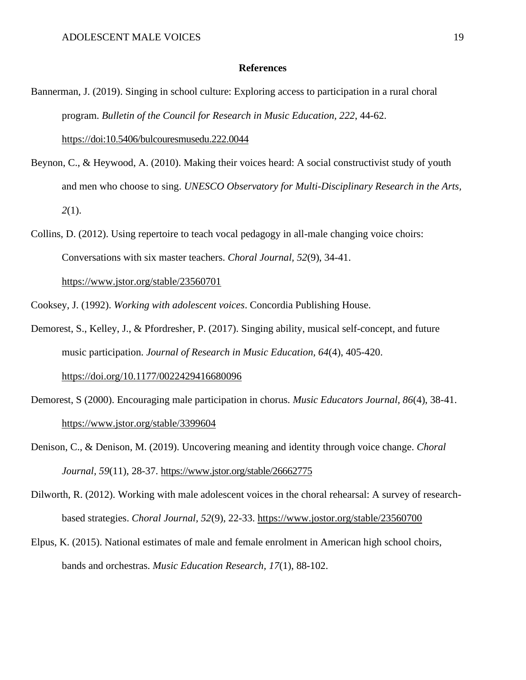#### **References**

- Bannerman, J. (2019). Singing in school culture: Exploring access to participation in a rural choral program. *Bulletin of the Council for Research in Music Education, 222*, 44-62. <https://doi:10.5406/bulcouresmusedu.222.0044>
- Beynon, C., & Heywood, A. (2010). Making their voices heard: A social constructivist study of youth and men who choose to sing. *UNESCO Observatory for Multi-Disciplinary Research in the Arts, 2*(1).
- Collins, D. (2012). Using repertoire to teach vocal pedagogy in all-male changing voice choirs: Conversations with six master teachers. *Choral Journal, 52*(9), 34-41.

<https://www.jstor.org/stable/23560701>

Cooksey, J. (1992). *Working with adolescent voices*. Concordia Publishing House.

- Demorest, S., Kelley, J., & Pfordresher, P. (2017). Singing ability, musical self-concept, and future music participation. *Journal of Research in Music Education, 64*(4), 405-420. [https://doi.org/10.1177/0022429416680096](https://doi.org/10.1177%2F0022429416680096)
- Demorest, S (2000). Encouraging male participation in chorus. *Music Educators Journal, 86*(4), 38-41. <https://www.jstor.org/stable/3399604>
- Denison, C., & Denison, M. (2019). Uncovering meaning and identity through voice change. *Choral Journal, 59*(11), 28-37.<https://www.jstor.org/stable/26662775>
- Dilworth, R. (2012). Working with male adolescent voices in the choral rehearsal: A survey of researchbased strategies. *Choral Journal, 52*(9), 22-33. <https://www.jostor.org/stable/23560700>
- Elpus, K. (2015). National estimates of male and female enrolment in American high school choirs, bands and orchestras. *Music Education Research, 17*(1), 88-102.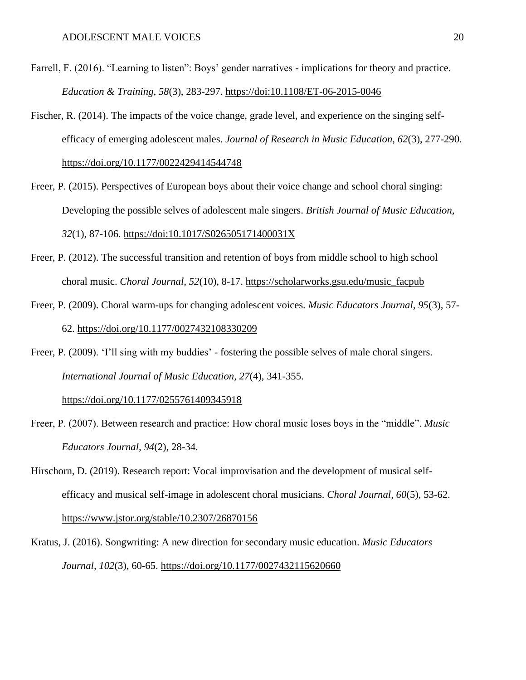- Farrell, F. (2016). "Learning to listen": Boys' gender narratives implications for theory and practice. *Education & Training, 58*(3), 283-297.<https://doi:10.1108/ET-06-2015-0046>
- Fischer, R. (2014). The impacts of the voice change, grade level, and experience on the singing selfefficacy of emerging adolescent males. *Journal of Research in Music Education, 62*(3), 277-290. [https://doi.org/10.1177/0022429414544748](https://doi.org/10.1177%2F0022429414544748)
- Freer, P. (2015). Perspectives of European boys about their voice change and school choral singing: Developing the possible selves of adolescent male singers. *British Journal of Music Education, 32*(1), 87-106.<https://doi:10.1017/S026505171400031X>
- Freer, P. (2012). The successful transition and retention of boys from middle school to high school choral music. *Choral Journal, 52*(10), 8-17. [https://scholarworks.gsu.edu/music\\_facpub](https://scholarworks.gsu.edu/music_facpub)
- Freer, P. (2009). Choral warm-ups for changing adolescent voices. *Music Educators Journal, 95*(3), 57- 62. [https://doi.org/10.1177/0027432108330209](https://doi.org/10.1177%2F0027432108330209)
- Freer, P. (2009). 'I'll sing with my buddies' fostering the possible selves of male choral singers. *International Journal of Music Education, 27*(4), 341-355.

[https://doi.org/10.1177/0255761409345918](https://doi.org/10.1177%2F0255761409345918)

- Freer, P. (2007). Between research and practice: How choral music loses boys in the "middle". *Music Educators Journal, 94*(2), 28-34.
- Hirschorn, D. (2019). Research report: Vocal improvisation and the development of musical selfefficacy and musical self-image in adolescent choral musicians. *Choral Journal, 60*(5), 53-62. <https://www.jstor.org/stable/10.2307/26870156>
- Kratus, J. (2016). Songwriting: A new direction for secondary music education. *Music Educators Journal, 102*(3), 60-65.<https://doi.org/10.1177/0027432115620660>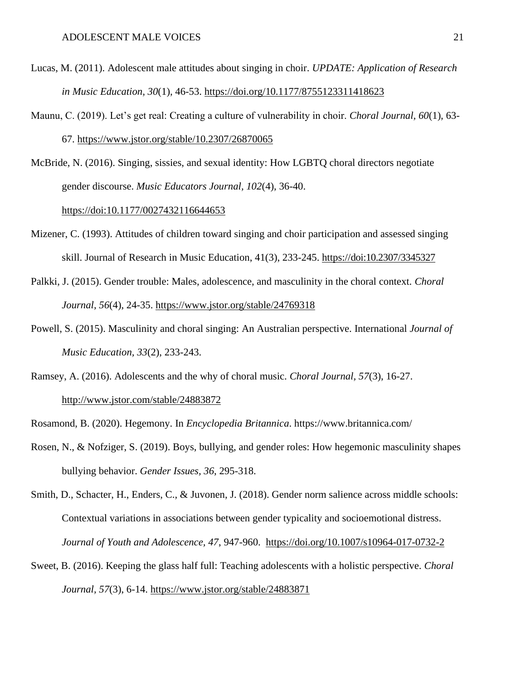- Lucas, M. (2011). Adolescent male attitudes about singing in choir. *UPDATE: Application of Research in Music Education, 30*(1), 46-53. https://doi.org/10.1177/8755123311418623
- Maunu, C. (2019). Let's get real: Creating a culture of vulnerability in choir. *Choral Journal, 60*(1), 63- 67.<https://www.jstor.org/stable/10.2307/26870065>
- McBride, N. (2016). Singing, sissies, and sexual identity: How LGBTQ choral directors negotiate gender discourse. *Music Educators Journal, 102*(4), 36-40.

#### <https://doi:10.1177/0027432116644653>

- Mizener, C. (1993). Attitudes of children toward singing and choir participation and assessed singing skill. Journal of Research in Music Education, 41(3), 233-245. https://doi:10.2307/3345327
- Palkki, J. (2015). Gender trouble: Males, adolescence, and masculinity in the choral context. *Choral Journal, 56*(4), 24-35.<https://www.jstor.org/stable/24769318>
- Powell, S. (2015). Masculinity and choral singing: An Australian perspective. International *Journal of Music Education, 33*(2), 233-243.
- Ramsey, A. (2016). Adolescents and the why of choral music. *Choral Journal, 57*(3), 16-27. <http://www.jstor.com/stable/24883872>

Rosamond, B. (2020). Hegemony. In *Encyclopedia Britannica*. https://www.britannica.com/

- Rosen, N., & Nofziger, S. (2019). Boys, bullying, and gender roles: How hegemonic masculinity shapes bullying behavior. *Gender Issues, 36*, 295-318.
- Smith, D., Schacter, H., Enders, C., & Juvonen, J. (2018). Gender norm salience across middle schools: Contextual variations in associations between gender typicality and socioemotional distress. *Journal of Youth and Adolescence, 47*, 947-960. https://doi.org/10.1007/s10964-017-0732-2
- Sweet, B. (2016). Keeping the glass half full: Teaching adolescents with a holistic perspective. *Choral Journal, 57*(3), 6-14. <https://www.jstor.org/stable/24883871>